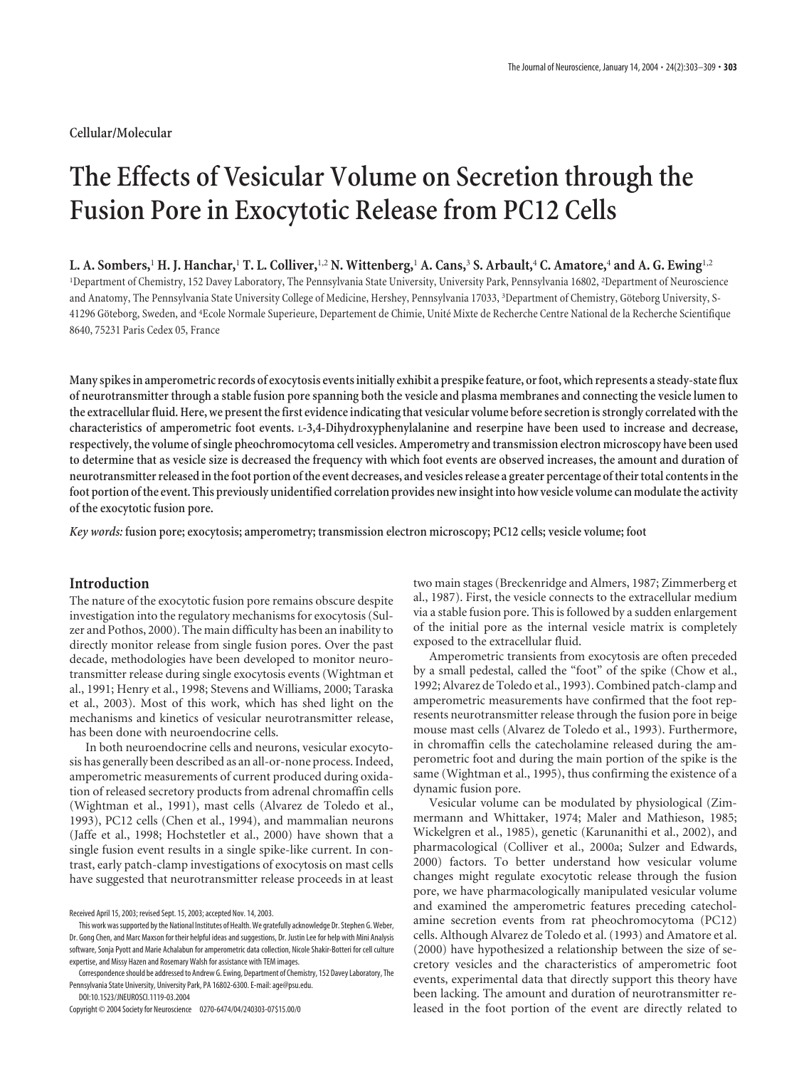# **Cellular/Molecular**

# **The Effects of Vesicular Volume on Secretion through the Fusion Pore in Exocytotic Release from PC12 Cells**

# **L. A. Sombers,**<sup>1</sup> **H. J. Hanchar,**<sup>1</sup> **T. L. Colliver,**1,2 **N. Wittenberg,**<sup>1</sup> **A. Cans,**<sup>3</sup> **S. Arbault,**<sup>4</sup> **C. Amatore,**<sup>4</sup> **and A. G. Ewing**1,2 1 Department of Chemistry, 152 Davey Laboratory, The Pennsylvania State University, University Park, Pennsylvania 16802, <sup>2</sup> Department of Neuroscience and Anatomy, The Pennsylvania State University College of Medicine, Hershey, Pennsylvania 17033, <sup>3</sup>Department of Chemistry, Göteborg University, S-41296 Göteborg, Sweden, and <sup>4</sup>Ecole Normale Superieure, Departement de Chimie, Unité Mixte de Recherche Centre National de la Recherche Scientifique 8640, 75231 Paris Cedex 05, France

**Many spikes in amperometric records of exocytosis events initially exhibit a prespike feature, or foot, which represents a steady-state flux of neurotransmitter through a stable fusion pore spanning both the vesicle and plasma membranes and connecting the vesicle lumen to the extracellular fluid. Here, we present the first evidence indicating that vesicular volume before secretion is strongly correlated with the characteristics of amperometric foot events. L-3,4-Dihydroxyphenylalanine and reserpine have been used to increase and decrease, respectively, the volume of single pheochromocytoma cell vesicles. Amperometry and transmission electron microscopy have been used to determine that as vesicle size is decreased the frequency with which foot events are observed increases, the amount and duration of neurotransmitter released in the foot portion of the event decreases, and vesicles release a greater percentage of their total contents in the foot portion of the event. This previously unidentified correlation provides new insight into how vesicle volume can modulate the activity of the exocytotic fusion pore.**

*Key words:* **fusion pore; exocytosis; amperometry; transmission electron microscopy; PC12 cells; vesicle volume; foot**

# **Introduction**

The nature of the exocytotic fusion pore remains obscure despite investigation into the regulatory mechanisms for exocytosis (Sulzer and Pothos, 2000). The main difficulty has been an inability to directly monitor release from single fusion pores. Over the past decade, methodologies have been developed to monitor neurotransmitter release during single exocytosis events (Wightman et al., 1991; Henry et al., 1998; Stevens and Williams, 2000; Taraska et al., 2003). Most of this work, which has shed light on the mechanisms and kinetics of vesicular neurotransmitter release, has been done with neuroendocrine cells.

In both neuroendocrine cells and neurons, vesicular exocytosis has generally been described as an all-or-none process. Indeed, amperometric measurements of current produced during oxidation of released secretory products from adrenal chromaffin cells (Wightman et al., 1991), mast cells (Alvarez de Toledo et al., 1993), PC12 cells (Chen et al., 1994), and mammalian neurons (Jaffe et al., 1998; Hochstetler et al., 2000) have shown that a single fusion event results in a single spike-like current. In contrast, early patch-clamp investigations of exocytosis on mast cells have suggested that neurotransmitter release proceeds in at least

Copyright © 2004 Society for Neuroscience 0270-6474/04/240303-07\$15.00/0

two main stages (Breckenridge and Almers, 1987; Zimmerberg et al., 1987). First, the vesicle connects to the extracellular medium via a stable fusion pore. This is followed by a sudden enlargement of the initial pore as the internal vesicle matrix is completely exposed to the extracellular fluid.

Amperometric transients from exocytosis are often preceded by a small pedestal, called the "foot" of the spike (Chow et al., 1992; Alvarez de Toledo et al., 1993). Combined patch-clamp and amperometric measurements have confirmed that the foot represents neurotransmitter release through the fusion pore in beige mouse mast cells (Alvarez de Toledo et al., 1993). Furthermore, in chromaffin cells the catecholamine released during the amperometric foot and during the main portion of the spike is the same (Wightman et al., 1995), thus confirming the existence of a dynamic fusion pore.

Vesicular volume can be modulated by physiological (Zimmermann and Whittaker, 1974; Maler and Mathieson, 1985; Wickelgren et al., 1985), genetic (Karunanithi et al., 2002), and pharmacological (Colliver et al., 2000a; Sulzer and Edwards, 2000) factors. To better understand how vesicular volume changes might regulate exocytotic release through the fusion pore, we have pharmacologically manipulated vesicular volume and examined the amperometric features preceding catecholamine secretion events from rat pheochromocytoma (PC12) cells. Although Alvarez de Toledo et al. (1993) and Amatore et al. (2000) have hypothesized a relationship between the size of secretory vesicles and the characteristics of amperometric foot events, experimental data that directly support this theory have been lacking. The amount and duration of neurotransmitter released in the foot portion of the event are directly related to

Received April 15, 2003; revised Sept. 15, 2003; accepted Nov. 14, 2003.

This work was supported by the National Institutes of Health. We gratefully acknowledge Dr. Stephen G. Weber, Dr. Gong Chen, and Marc Maxson for their helpful ideas and suggestions, Dr. Justin Lee for help with Mini Analysis software, Sonja Pyott and Marie Achalabun for amperometric data collection, Nicole Shakir-Botteri for cell culture expertise, and Missy Hazen and Rosemary Walsh for assistance with TEM images.

Correspondence should be addressed to Andrew G. Ewing, Department of Chemistry, 152 Davey Laboratory, The Pennsylvania State University, University Park, PA 16802-6300. E-mail: age@psu.edu.

DOI:10.1523/JNEUROSCI.1119-03.2004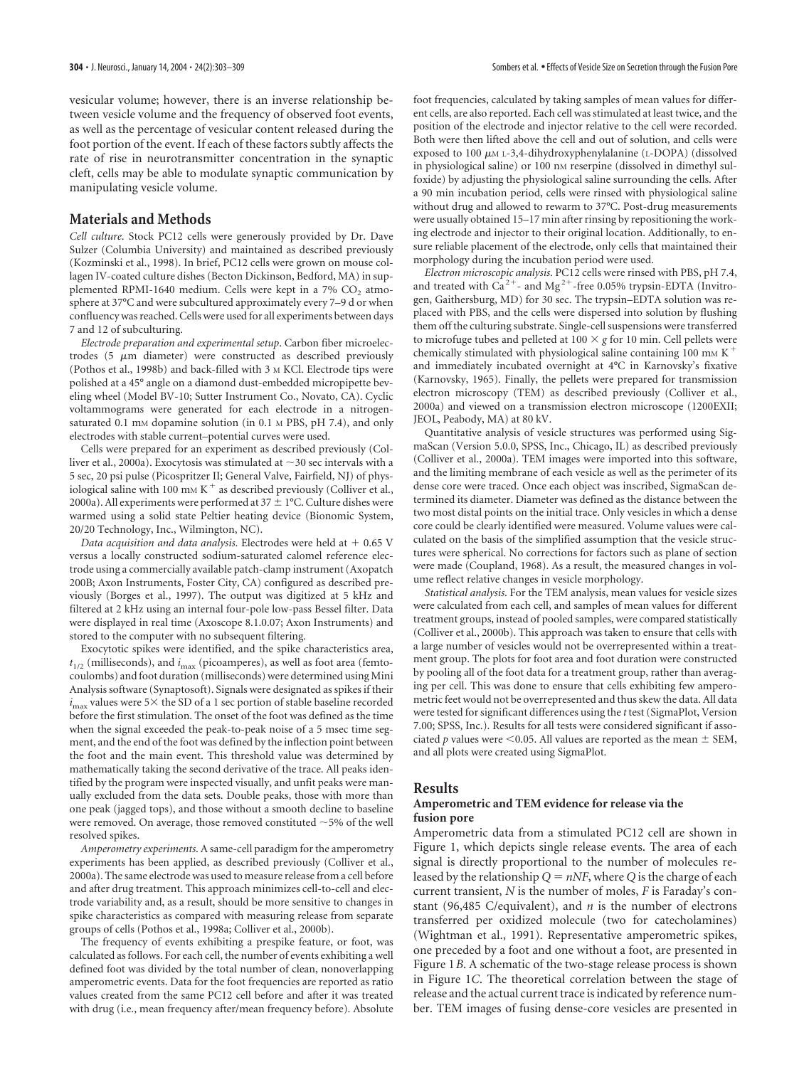vesicular volume; however, there is an inverse relationship between vesicle volume and the frequency of observed foot events, as well as the percentage of vesicular content released during the foot portion of the event. If each of these factors subtly affects the rate of rise in neurotransmitter concentration in the synaptic cleft, cells may be able to modulate synaptic communication by manipulating vesicle volume.

## **Materials and Methods**

*Cell culture*. Stock PC12 cells were generously provided by Dr. Dave Sulzer (Columbia University) and maintained as described previously (Kozminski et al., 1998). In brief, PC12 cells were grown on mouse collagen IV-coated culture dishes (Becton Dickinson, Bedford, MA) in supplemented RPMI-1640 medium. Cells were kept in a  $7\%$  CO<sub>2</sub> atmosphere at 37°C and were subcultured approximately every 7–9 d or when confluency was reached. Cells were used for all experiments between days 7 and 12 of subculturing.

*Electrode preparation and experimental setup*. Carbon fiber microelectrodes (5  $\mu$ m diameter) were constructed as described previously (Pothos et al., 1998b) and back-filled with 3 M KCl. Electrode tips were polished at a 45° angle on a diamond dust-embedded micropipette beveling wheel (Model BV-10; Sutter Instrument Co., Novato, CA). Cyclic voltammograms were generated for each electrode in a nitrogensaturated 0.1 mm dopamine solution (in 0.1 m PBS, pH 7.4), and only electrodes with stable current–potential curves were used.

Cells were prepared for an experiment as described previously (Colliver et al., 2000a). Exocytosis was stimulated at  $\sim$ 30 sec intervals with a 5 sec, 20 psi pulse (Picospritzer II; General Valve, Fairfield, NJ) of physiological saline with 100 mm K<sup>+</sup> as described previously (Colliver et al., 2000a). All experiments were performed at  $37 \pm 1$ °C. Culture dishes were warmed using a solid state Peltier heating device (Bionomic System, 20/20 Technology, Inc., Wilmington, NC).

Data acquisition and data analysis. Electrodes were held at + 0.65 V versus a locally constructed sodium-saturated calomel reference electrode using a commercially available patch-clamp instrument (Axopatch 200B; Axon Instruments, Foster City, CA) configured as described previously (Borges et al., 1997). The output was digitized at 5 kHz and filtered at 2 kHz using an internal four-pole low-pass Bessel filter. Data were displayed in real time (Axoscope 8.1.0.07; Axon Instruments) and stored to the computer with no subsequent filtering.

Exocytotic spikes were identified, and the spike characteristics area,  $t_{1/2}$  (milliseconds), and  $i_{\text{max}}$  (picoamperes), as well as foot area (femtocoulombs) and foot duration (milliseconds) were determined using Mini Analysis software (Synaptosoft). Signals were designated as spikes if their  $i_{\text{max}}$  values were 5 $\times$  the SD of a 1 sec portion of stable baseline recorded before the first stimulation. The onset of the foot was defined as the time when the signal exceeded the peak-to-peak noise of a 5 msec time segment, and the end of the foot was defined by the inflection point between the foot and the main event. This threshold value was determined by mathematically taking the second derivative of the trace. All peaks identified by the program were inspected visually, and unfit peaks were manually excluded from the data sets. Double peaks, those with more than one peak (jagged tops), and those without a smooth decline to baseline were removed. On average, those removed constituted  $\sim$  5% of the well resolved spikes.

*Amperometry experiments*. A same-cell paradigm for the amperometry experiments has been applied, as described previously (Colliver et al., 2000a). The same electrode was used to measure release from a cell before and after drug treatment. This approach minimizes cell-to-cell and electrode variability and, as a result, should be more sensitive to changes in spike characteristics as compared with measuring release from separate groups of cells (Pothos et al., 1998a; Colliver et al., 2000b).

The frequency of events exhibiting a prespike feature, or foot, was calculated as follows. For each cell, the number of events exhibiting a well defined foot was divided by the total number of clean, nonoverlapping amperometric events. Data for the foot frequencies are reported as ratio values created from the same PC12 cell before and after it was treated with drug (i.e., mean frequency after/mean frequency before). Absolute

foot frequencies, calculated by taking samples of mean values for different cells, are also reported. Each cell was stimulated at least twice, and the position of the electrode and injector relative to the cell were recorded. Both were then lifted above the cell and out of solution, and cells were exposed to 100  $\mu$ M L-3,4-dihydroxyphenylalanine (L-DOPA) (dissolved in physiological saline) or 100 nm reserpine (dissolved in dimethyl sulfoxide) by adjusting the physiological saline surrounding the cells. After a 90 min incubation period, cells were rinsed with physiological saline without drug and allowed to rewarm to 37°C. Post-drug measurements were usually obtained 15–17 min after rinsing by repositioning the working electrode and injector to their original location. Additionally, to ensure reliable placement of the electrode, only cells that maintained their morphology during the incubation period were used.

*Electron microscopic analysis*. PC12 cells were rinsed with PBS, pH 7.4, and treated with  $Ca^{2+}$ - and Mg<sup>2+</sup>-free 0.05% trypsin-EDTA (Invitrogen, Gaithersburg, MD) for 30 sec. The trypsin–EDTA solution was replaced with PBS, and the cells were dispersed into solution by flushing them off the culturing substrate. Single-cell suspensions were transferred to microfuge tubes and pelleted at  $100 \times g$  for 10 min. Cell pellets were chemically stimulated with physiological saline containing 100 mm K<sup>+</sup> and immediately incubated overnight at 4°C in Karnovsky's fixative (Karnovsky, 1965). Finally, the pellets were prepared for transmission electron microscopy (TEM) as described previously (Colliver et al., 2000a) and viewed on a transmission electron microscope (1200EXII; JEOL, Peabody, MA) at 80 kV.

Quantitative analysis of vesicle structures was performed using SigmaScan (Version 5.0.0, SPSS, Inc., Chicago, IL) as described previously (Colliver et al., 2000a). TEM images were imported into this software, and the limiting membrane of each vesicle as well as the perimeter of its dense core were traced. Once each object was inscribed, SigmaScan determined its diameter. Diameter was defined as the distance between the two most distal points on the initial trace. Only vesicles in which a dense core could be clearly identified were measured. Volume values were calculated on the basis of the simplified assumption that the vesicle structures were spherical. No corrections for factors such as plane of section were made (Coupland, 1968). As a result, the measured changes in volume reflect relative changes in vesicle morphology.

*Statistical analysis*. For the TEM analysis, mean values for vesicle sizes were calculated from each cell, and samples of mean values for different treatment groups, instead of pooled samples, were compared statistically (Colliver et al., 2000b). This approach was taken to ensure that cells with a large number of vesicles would not be overrepresented within a treatment group. The plots for foot area and foot duration were constructed by pooling all of the foot data for a treatment group, rather than averaging per cell. This was done to ensure that cells exhibiting few amperometric feet would not be overrepresented and thus skew the data. All data were tested for significant differences using the *t* test (SigmaPlot, Version 7.00; SPSS, Inc.). Results for all tests were considered significant if associated  $p$  values were <0.05. All values are reported as the mean  $\pm$  SEM, and all plots were created using SigmaPlot.

#### **Results**

### **Amperometric and TEM evidence for release via the fusion pore**

Amperometric data from a stimulated PC12 cell are shown in Figure 1, which depicts single release events. The area of each signal is directly proportional to the number of molecules released by the relationship  $Q = nNF$ , where *Q* is the charge of each current transient, *N* is the number of moles, *F* is Faraday's constant (96,485 C/equivalent), and *n* is the number of electrons transferred per oxidized molecule (two for catecholamines) (Wightman et al., 1991). Representative amperometric spikes, one preceded by a foot and one without a foot, are presented in Figure 1*B*. A schematic of the two-stage release process is shown in Figure 1*C*. The theoretical correlation between the stage of release and the actual current trace is indicated by reference number. TEM images of fusing dense-core vesicles are presented in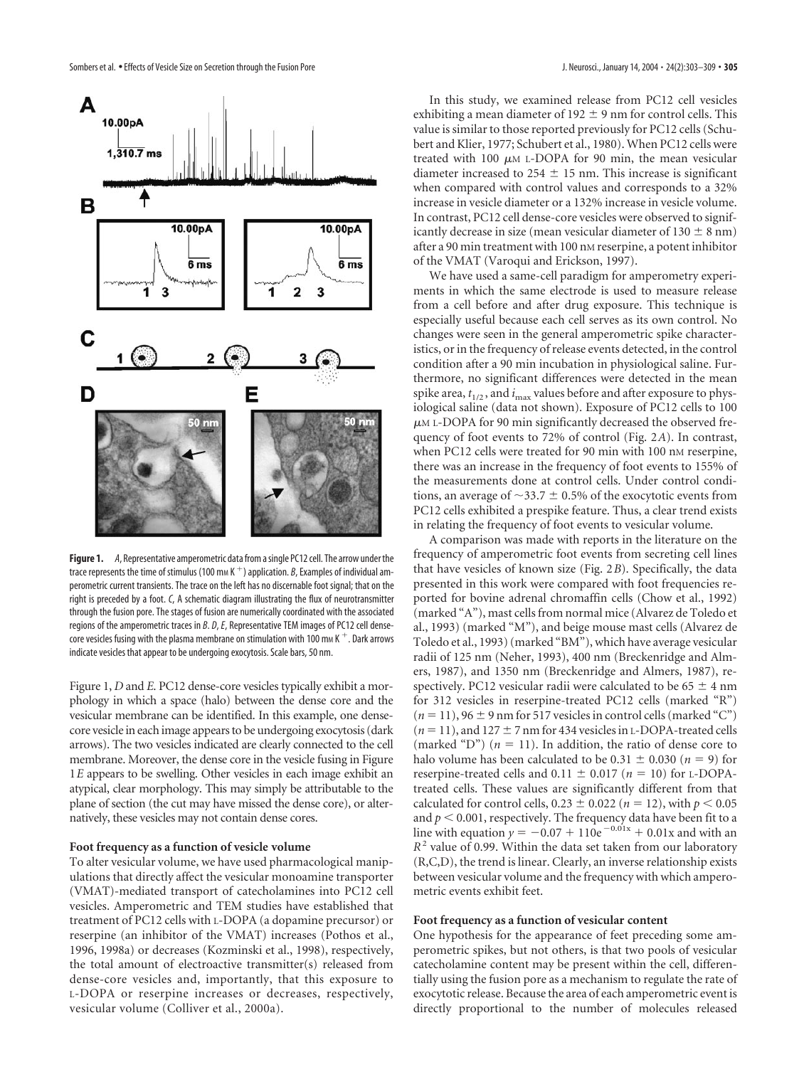

**Figure 1.** *A*, Representative amperometric data from a single PC12 cell. The arrow under the trace represents the time of stimulus (100 mm K<sup>+</sup>) application. *B*, Examples of individual amperometric current transients. The trace on the left has no discernable foot signal; that on the right is preceded by a foot. *C*, A schematic diagram illustrating the flux of neurotransmitter through the fusion pore. The stages of fusion are numerically coordinated with the associated regions of the amperometric traces in *B*. *D*, *E*, Representative TEM images of PC12 cell densecore vesicles fusing with the plasma membrane on stimulation with 100 mm K  $^+$  . Dark arrows indicate vesicles that appear to be undergoing exocytosis. Scale bars, 50 nm.

Figure 1, *D* and *E*. PC12 dense-core vesicles typically exhibit a morphology in which a space (halo) between the dense core and the vesicular membrane can be identified. In this example, one densecore vesicle in each image appears to be undergoing exocytosis (dark arrows). The two vesicles indicated are clearly connected to the cell membrane. Moreover, the dense core in the vesicle fusing in Figure 1*E* appears to be swelling. Other vesicles in each image exhibit an atypical, clear morphology. This may simply be attributable to the plane of section (the cut may have missed the dense core), or alternatively, these vesicles may not contain dense cores.

#### **Foot frequency as a function of vesicle volume**

To alter vesicular volume, we have used pharmacological manipulations that directly affect the vesicular monoamine transporter (VMAT)-mediated transport of catecholamines into PC12 cell vesicles. Amperometric and TEM studies have established that treatment of PC12 cells with L-DOPA (a dopamine precursor) or reserpine (an inhibitor of the VMAT) increases (Pothos et al., 1996, 1998a) or decreases (Kozminski et al., 1998), respectively, the total amount of electroactive transmitter(s) released from dense-core vesicles and, importantly, that this exposure to L-DOPA or reserpine increases or decreases, respectively, vesicular volume (Colliver et al., 2000a).

In this study, we examined release from PC12 cell vesicles exhibiting a mean diameter of 192  $\pm$  9 nm for control cells. This value is similar to those reported previously for PC12 cells (Schubert and Klier, 1977; Schubert et al., 1980). When PC12 cells were treated with 100  $\mu$ M L-DOPA for 90 min, the mean vesicular diameter increased to  $254 \pm 15$  nm. This increase is significant when compared with control values and corresponds to a 32% increase in vesicle diameter or a 132% increase in vesicle volume. In contrast, PC12 cell dense-core vesicles were observed to significantly decrease in size (mean vesicular diameter of  $130 \pm 8$  nm) after a 90 min treatment with 100 nm reserpine, a potent inhibitor of the VMAT (Varoqui and Erickson, 1997).

We have used a same-cell paradigm for amperometry experiments in which the same electrode is used to measure release from a cell before and after drug exposure. This technique is especially useful because each cell serves as its own control. No changes were seen in the general amperometric spike characteristics, or in the frequency of release events detected, in the control condition after a 90 min incubation in physiological saline. Furthermore, no significant differences were detected in the mean spike area,  $t_{1/2}$ , and  $i_{\text{max}}$  values before and after exposure to physiological saline (data not shown). Exposure of PC12 cells to 100  $\mu$ M L-DOPA for 90 min significantly decreased the observed frequency of foot events to 72% of control (Fig. 2*A*). In contrast, when PC12 cells were treated for 90 min with 100 nm reserpine, there was an increase in the frequency of foot events to 155% of the measurements done at control cells. Under control conditions, an average of  $\sim$ 33.7  $\pm$  0.5% of the exocytotic events from PC12 cells exhibited a prespike feature. Thus, a clear trend exists in relating the frequency of foot events to vesicular volume.

A comparison was made with reports in the literature on the frequency of amperometric foot events from secreting cell lines that have vesicles of known size (Fig. 2*B*). Specifically, the data presented in this work were compared with foot frequencies reported for bovine adrenal chromaffin cells (Chow et al., 1992) (marked "A"), mast cells from normal mice (Alvarez de Toledo et al., 1993) (marked "M"), and beige mouse mast cells (Alvarez de Toledo et al., 1993) (marked "BM"), which have average vesicular radii of 125 nm (Neher, 1993), 400 nm (Breckenridge and Almers, 1987), and 1350 nm (Breckenridge and Almers, 1987), respectively. PC12 vesicular radii were calculated to be  $65 \pm 4$  nm for 312 vesicles in reserpine-treated PC12 cells (marked "R")  $(n = 11)$ , 96  $\pm$  9 nm for 517 vesicles in control cells (marked "C")  $(n = 11)$ , and  $127 \pm 7$  nm for 434 vesicles in L-DOPA-treated cells (marked "D") ( $n = 11$ ). In addition, the ratio of dense core to halo volume has been calculated to be  $0.31 \pm 0.030$  ( $n = 9$ ) for reserpine-treated cells and  $0.11 \pm 0.017$  ( $n = 10$ ) for L-DOPAtreated cells. These values are significantly different from that calculated for control cells,  $0.23 \pm 0.022$  ( $n = 12$ ), with  $p < 0.05$ and  $p < 0.001$ , respectively. The frequency data have been fit to a line with equation  $y = -0.07 + 110e^{-0.01x} + 0.01x$  and with an  $R<sup>2</sup>$  value of 0.99. Within the data set taken from our laboratory (R,C,D), the trend is linear. Clearly, an inverse relationship exists between vesicular volume and the frequency with which amperometric events exhibit feet.

## **Foot frequency as a function of vesicular content**

One hypothesis for the appearance of feet preceding some amperometric spikes, but not others, is that two pools of vesicular catecholamine content may be present within the cell, differentially using the fusion pore as a mechanism to regulate the rate of exocytotic release. Because the area of each amperometric event is directly proportional to the number of molecules released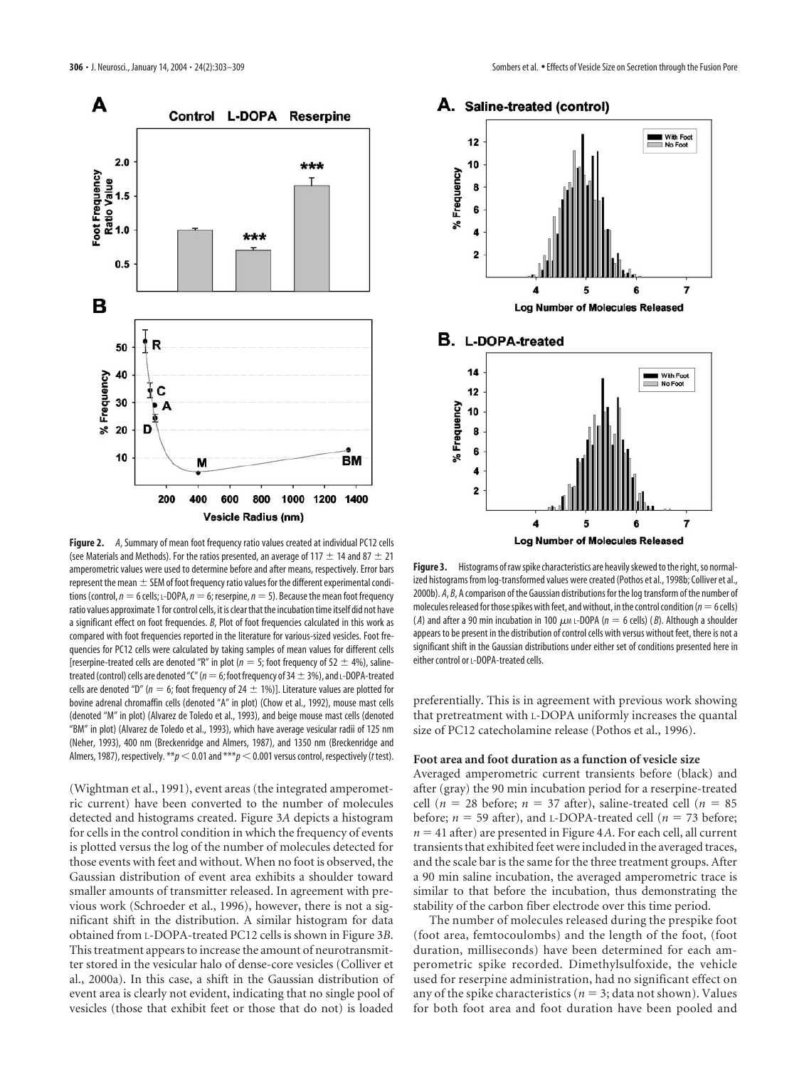

**Figure 2.** *A*, Summary of mean foot frequency ratio values created at individual PC12 cells (see Materials and Methods). For the ratios presented, an average of 117  $\pm$  14 and 87  $\pm$  21 amperometric values were used to determine before and after means, respectively. Error bars represent the mean  $\pm$  SEM of foot frequency ratio values for the different experimental conditions (control,  $n=6$  cells; L-DOPA,  $n=6$ ; reserpine,  $n=5$ ). Because the mean foot frequency ratio values approximate 1 for control cells, it is clear that the incubation time itself did not have a significant effect on foot frequencies. *B*, Plot of foot frequencies calculated in this work as compared with foot frequencies reported in the literature for various-sized vesicles. Foot frequencies for PC12 cells were calculated by taking samples of mean values for different cells [reserpine-treated cells are denoted "R" in plot ( $n = 5$ ; foot frequency of 52  $\pm$  4%), salinetreated (control) cells are denoted "C" ( $n=6$ ; foot frequency of 34  $\pm$  3%), and L-DOPA-treated cells are denoted "D" ( $n = 6$ ; foot frequency of 24  $\pm$  1%)]. Literature values are plotted for bovine adrenal chromaffin cells (denoted "A" in plot) (Chow et al., 1992), mouse mast cells (denoted "M" in plot) (Alvarez de Toledo et al., 1993), and beige mouse mast cells (denoted "BM" in plot) (Alvarez de Toledo et al., 1993), which have average vesicular radii of 125 nm (Neher, 1993), 400 nm (Breckenridge and Almers, 1987), and 1350 nm (Breckenridge and Almers, 1987), respectively.  $* p < 0.01$  and  $** p < 0.001$  versus control, respectively (*t* test).

(Wightman et al., 1991), event areas (the integrated amperometric current) have been converted to the number of molecules detected and histograms created. Figure 3*A* depicts a histogram for cells in the control condition in which the frequency of events is plotted versus the log of the number of molecules detected for those events with feet and without. When no foot is observed, the Gaussian distribution of event area exhibits a shoulder toward smaller amounts of transmitter released. In agreement with previous work (Schroeder et al., 1996), however, there is not a significant shift in the distribution. A similar histogram for data obtained from L-DOPA-treated PC12 cells is shown in Figure 3*B*. This treatment appears to increase the amount of neurotransmitter stored in the vesicular halo of dense-core vesicles (Colliver et al., 2000a). In this case, a shift in the Gaussian distribution of event area is clearly not evident, indicating that no single pool of vesicles (those that exhibit feet or those that do not) is loaded



**Figure 3.** Histograms of raw spike characteristics are heavily skewed to the right, so normalized histograms from log-transformed values were created (Pothos et al., 1998b; Colliver et al., 2000b). *A*, *B*, A comparison of the Gaussian distributions for the log transform of the number of molecules released for those spikes with feet, and without, in the control condition ( $n=6$  cells) (A) and after a 90 min incubation in 100  $\mu$ <sub>M</sub> L-DOPA ( $n = 6$  cells) (B). Although a shoulder appears to be present in the distribution of control cells with versus without feet, there is not a significant shift in the Gaussian distributions under either set of conditions presented here in either control or  $L$ -DOPA-treated cells.

preferentially. This is in agreement with previous work showing that pretreatment with L-DOPA uniformly increases the quantal size of PC12 catecholamine release (Pothos et al., 1996).

#### **Foot area and foot duration as a function of vesicle size**

Averaged amperometric current transients before (black) and after (gray) the 90 min incubation period for a reserpine-treated cell ( $n = 28$  before;  $n = 37$  after), saline-treated cell ( $n = 85$ before;  $n = 59$  after), and L-DOPA-treated cell ( $n = 73$  before;  $n = 41$  after) are presented in Figure 4A. For each cell, all current transients that exhibited feet were included in the averaged traces, and the scale bar is the same for the three treatment groups. After a 90 min saline incubation, the averaged amperometric trace is similar to that before the incubation, thus demonstrating the stability of the carbon fiber electrode over this time period.

The number of molecules released during the prespike foot (foot area, femtocoulombs) and the length of the foot, (foot duration, milliseconds) have been determined for each amperometric spike recorded. Dimethylsulfoxide, the vehicle used for reserpine administration, had no significant effect on any of the spike characteristics ( $n = 3$ ; data not shown). Values for both foot area and foot duration have been pooled and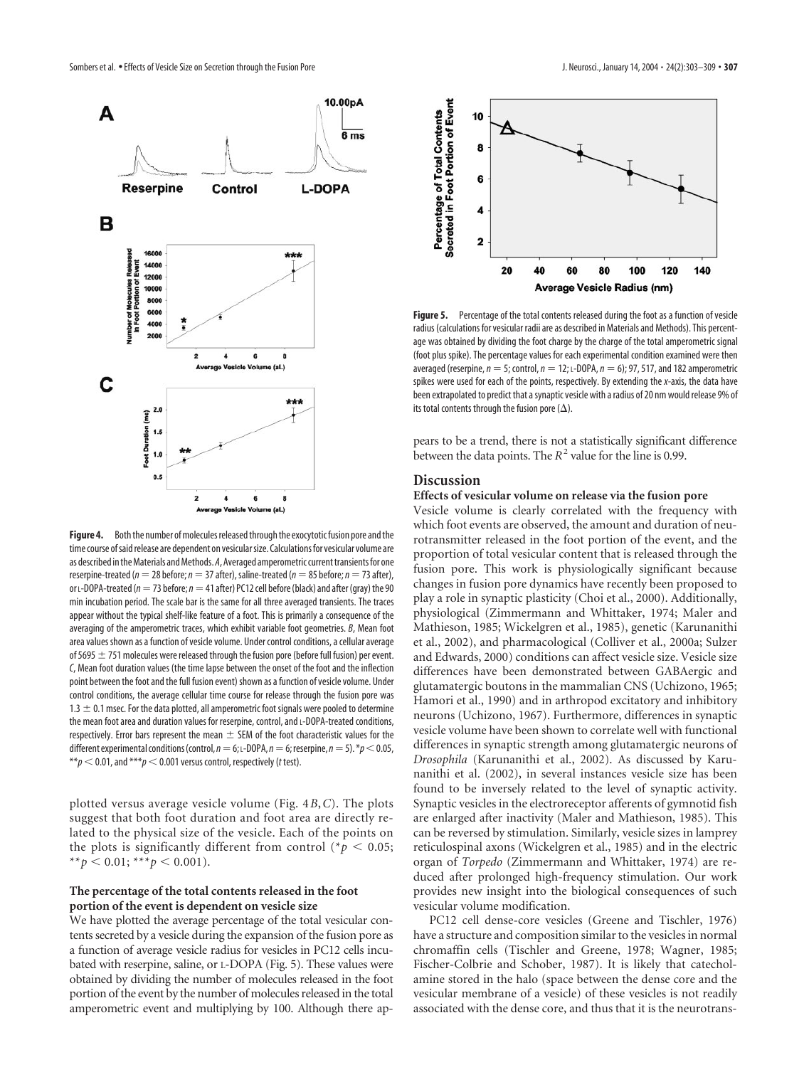

**Figure 4.** Both the number of molecules released through the exocytotic fusion pore and the time course of said release are dependent on vesicular size. Calculations for vesicular volume are as described in the Materials and Methods.*A*, Averaged amperometric current transients for one reserpine-treated ( $n=28$  before;  $n=37$  after), saline-treated ( $n=85$  before;  $n=73$  after), or L-DOPA-treated ( $n=73$  before;  $n=41$  after) PC12 cell before (black) and after (gray) the 90 min incubation period. The scale bar is the same for all three averaged transients. The traces appear without the typical shelf-like feature of a foot. This is primarily a consequence of the averaging of the amperometric traces, which exhibit variable foot geometries. *B*, Mean foot area values shown as a function of vesicle volume. Under control conditions, a cellular average of 5695  $\pm$  751 molecules were released through the fusion pore (before full fusion) per event. *C*, Mean foot duration values (the time lapse between the onset of the foot and the inflection point between the foot and the full fusion event) shown as a function of vesicle volume. Under control conditions, the average cellular time course for release through the fusion pore was 1.3  $\pm$  0.1 msec. For the data plotted, all amperometric foot signals were pooled to determine the mean foot area and duration values for reserpine, control, and L-DOPA-treated conditions, respectively. Error bars represent the mean  $\pm$  SEM of the foot characteristic values for the different experimental conditions (control,  $n=6$ ; L-DOPA,  $n=6$ ; reserpine,  $n=5$ ).  $*p<0.05$ ,  $**p < 0.01$ , and  $**p < 0.001$  versus control, respectively (*t* test).

plotted versus average vesicle volume (Fig. 4*B*,*C*). The plots suggest that both foot duration and foot area are directly related to the physical size of the vesicle. Each of the points on the plots is significantly different from control ( $p < 0.05$ ;  $**p < 0.01$ ; \*\*\**p* < 0.001).

#### **The percentage of the total contents released in the foot portion of the event is dependent on vesicle size**

We have plotted the average percentage of the total vesicular contents secreted by a vesicle during the expansion of the fusion pore as a function of average vesicle radius for vesicles in PC12 cells incubated with reserpine, saline, or L-DOPA (Fig. 5). These values were obtained by dividing the number of molecules released in the foot portion of the event by the number of molecules released in the total amperometric event and multiplying by 100. Although there ap-



**Figure 5.** Percentage of the total contents released during the foot as a function of vesicle radius (calculations for vesicular radii are as described in Materials and Methods). This percentage was obtained by dividing the foot charge by the charge of the total amperometric signal (foot plus spike). The percentage values for each experimental condition examined were then averaged (reserpine,  $n = 5$ ; control,  $n = 12$ ; L-DOPA,  $n = 6$ ); 97, 517, and 182 amperometric spikes were used for each of the points, respectively. By extending the *x*-axis, the data have been extrapolated to predict that a synaptic vesicle with a radius of 20 nm would release 9% of its total contents through the fusion pore  $(\Delta)$ .

pears to be a trend, there is not a statistically significant difference between the data points. The  $R^2$  value for the line is 0.99.

#### **Discussion**

### **Effects of vesicular volume on release via the fusion pore**

Vesicle volume is clearly correlated with the frequency with which foot events are observed, the amount and duration of neurotransmitter released in the foot portion of the event, and the proportion of total vesicular content that is released through the fusion pore. This work is physiologically significant because changes in fusion pore dynamics have recently been proposed to play a role in synaptic plasticity (Choi et al., 2000). Additionally, physiological (Zimmermann and Whittaker, 1974; Maler and Mathieson, 1985; Wickelgren et al., 1985), genetic (Karunanithi et al., 2002), and pharmacological (Colliver et al., 2000a; Sulzer and Edwards, 2000) conditions can affect vesicle size. Vesicle size differences have been demonstrated between GABAergic and glutamatergic boutons in the mammalian CNS (Uchizono, 1965; Hamori et al., 1990) and in arthropod excitatory and inhibitory neurons (Uchizono, 1967). Furthermore, differences in synaptic vesicle volume have been shown to correlate well with functional differences in synaptic strength among glutamatergic neurons of *Drosophila* (Karunanithi et al., 2002). As discussed by Karunanithi et al. (2002), in several instances vesicle size has been found to be inversely related to the level of synaptic activity. Synaptic vesicles in the electroreceptor afferents of gymnotid fish are enlarged after inactivity (Maler and Mathieson, 1985). This can be reversed by stimulation. Similarly, vesicle sizes in lamprey reticulospinal axons (Wickelgren et al., 1985) and in the electric organ of *Torpedo* (Zimmermann and Whittaker, 1974) are reduced after prolonged high-frequency stimulation. Our work provides new insight into the biological consequences of such vesicular volume modification.

PC12 cell dense-core vesicles (Greene and Tischler, 1976) have a structure and composition similar to the vesicles in normal chromaffin cells (Tischler and Greene, 1978; Wagner, 1985; Fischer-Colbrie and Schober, 1987). It is likely that catecholamine stored in the halo (space between the dense core and the vesicular membrane of a vesicle) of these vesicles is not readily associated with the dense core, and thus that it is the neurotrans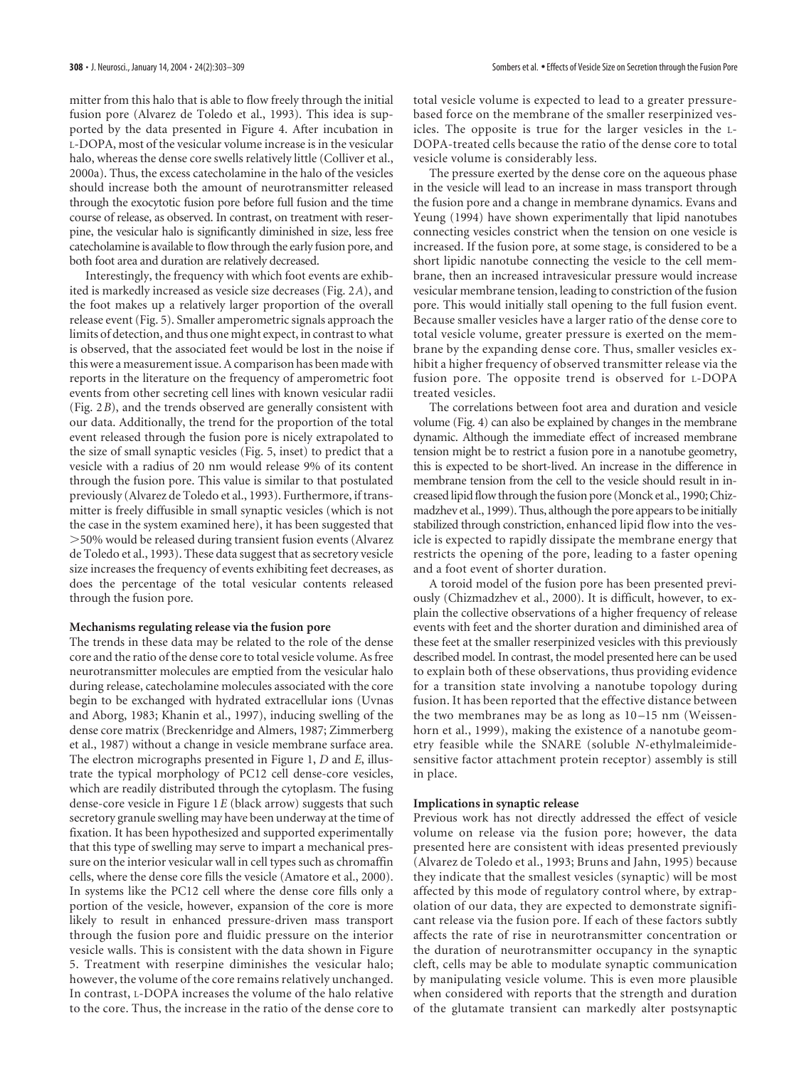mitter from this halo that is able to flow freely through the initial fusion pore (Alvarez de Toledo et al., 1993). This idea is supported by the data presented in Figure 4. After incubation in L-DOPA, most of the vesicular volume increase is in the vesicular halo, whereas the dense core swells relatively little (Colliver et al., 2000a). Thus, the excess catecholamine in the halo of the vesicles should increase both the amount of neurotransmitter released through the exocytotic fusion pore before full fusion and the time course of release, as observed. In contrast, on treatment with reserpine, the vesicular halo is significantly diminished in size, less free catecholamine is available to flow through the early fusion pore, and both foot area and duration are relatively decreased.

Interestingly, the frequency with which foot events are exhibited is markedly increased as vesicle size decreases (Fig. 2*A*), and the foot makes up a relatively larger proportion of the overall release event (Fig. 5). Smaller amperometric signals approach the limits of detection, and thus one might expect, in contrast to what is observed, that the associated feet would be lost in the noise if this were a measurement issue. A comparison has been made with reports in the literature on the frequency of amperometric foot events from other secreting cell lines with known vesicular radii (Fig. 2*B*), and the trends observed are generally consistent with our data. Additionally, the trend for the proportion of the total event released through the fusion pore is nicely extrapolated to the size of small synaptic vesicles (Fig. 5, inset) to predict that a vesicle with a radius of 20 nm would release 9% of its content through the fusion pore. This value is similar to that postulated previously (Alvarez de Toledo et al., 1993). Furthermore, if transmitter is freely diffusible in small synaptic vesicles (which is not the case in the system examined here), it has been suggested that 50% would be released during transient fusion events (Alvarez de Toledo et al., 1993). These data suggest that as secretory vesicle size increases the frequency of events exhibiting feet decreases, as does the percentage of the total vesicular contents released through the fusion pore.

#### **Mechanisms regulating release via the fusion pore**

The trends in these data may be related to the role of the dense core and the ratio of the dense core to total vesicle volume. As free neurotransmitter molecules are emptied from the vesicular halo during release, catecholamine molecules associated with the core begin to be exchanged with hydrated extracellular ions (Uvnas and Aborg, 1983; Khanin et al., 1997), inducing swelling of the dense core matrix (Breckenridge and Almers, 1987; Zimmerberg et al., 1987) without a change in vesicle membrane surface area. The electron micrographs presented in Figure 1, *D* and *E*, illustrate the typical morphology of PC12 cell dense-core vesicles, which are readily distributed through the cytoplasm. The fusing dense-core vesicle in Figure 1*E* (black arrow) suggests that such secretory granule swelling may have been underway at the time of fixation. It has been hypothesized and supported experimentally that this type of swelling may serve to impart a mechanical pressure on the interior vesicular wall in cell types such as chromaffin cells, where the dense core fills the vesicle (Amatore et al., 2000). In systems like the PC12 cell where the dense core fills only a portion of the vesicle, however, expansion of the core is more likely to result in enhanced pressure-driven mass transport through the fusion pore and fluidic pressure on the interior vesicle walls. This is consistent with the data shown in Figure 5. Treatment with reserpine diminishes the vesicular halo; however, the volume of the core remains relatively unchanged. In contrast, L-DOPA increases the volume of the halo relative to the core. Thus, the increase in the ratio of the dense core to

total vesicle volume is expected to lead to a greater pressurebased force on the membrane of the smaller reserpinized vesicles. The opposite is true for the larger vesicles in the L-DOPA-treated cells because the ratio of the dense core to total vesicle volume is considerably less.

The pressure exerted by the dense core on the aqueous phase in the vesicle will lead to an increase in mass transport through the fusion pore and a change in membrane dynamics. Evans and Yeung (1994) have shown experimentally that lipid nanotubes connecting vesicles constrict when the tension on one vesicle is increased. If the fusion pore, at some stage, is considered to be a short lipidic nanotube connecting the vesicle to the cell membrane, then an increased intravesicular pressure would increase vesicular membrane tension, leading to constriction of the fusion pore. This would initially stall opening to the full fusion event. Because smaller vesicles have a larger ratio of the dense core to total vesicle volume, greater pressure is exerted on the membrane by the expanding dense core. Thus, smaller vesicles exhibit a higher frequency of observed transmitter release via the fusion pore. The opposite trend is observed for L-DOPA treated vesicles.

The correlations between foot area and duration and vesicle volume (Fig. 4) can also be explained by changes in the membrane dynamic. Although the immediate effect of increased membrane tension might be to restrict a fusion pore in a nanotube geometry, this is expected to be short-lived. An increase in the difference in membrane tension from the cell to the vesicle should result in increased lipid flow through the fusion pore (Monck et al., 1990; Chizmadzhev et al., 1999). Thus, although the pore appears to be initially stabilized through constriction, enhanced lipid flow into the vesicle is expected to rapidly dissipate the membrane energy that restricts the opening of the pore, leading to a faster opening and a foot event of shorter duration.

A toroid model of the fusion pore has been presented previously (Chizmadzhev et al., 2000). It is difficult, however, to explain the collective observations of a higher frequency of release events with feet and the shorter duration and diminished area of these feet at the smaller reserpinized vesicles with this previously described model. In contrast, the model presented here can be used to explain both of these observations, thus providing evidence for a transition state involving a nanotube topology during fusion. It has been reported that the effective distance between the two membranes may be as long as 10 –15 nm (Weissenhorn et al., 1999), making the existence of a nanotube geometry feasible while the SNARE (soluble *N*-ethylmaleimidesensitive factor attachment protein receptor) assembly is still in place.

#### **Implications in synaptic release**

Previous work has not directly addressed the effect of vesicle volume on release via the fusion pore; however, the data presented here are consistent with ideas presented previously (Alvarez de Toledo et al., 1993; Bruns and Jahn, 1995) because they indicate that the smallest vesicles (synaptic) will be most affected by this mode of regulatory control where, by extrapolation of our data, they are expected to demonstrate significant release via the fusion pore. If each of these factors subtly affects the rate of rise in neurotransmitter concentration or the duration of neurotransmitter occupancy in the synaptic cleft, cells may be able to modulate synaptic communication by manipulating vesicle volume. This is even more plausible when considered with reports that the strength and duration of the glutamate transient can markedly alter postsynaptic